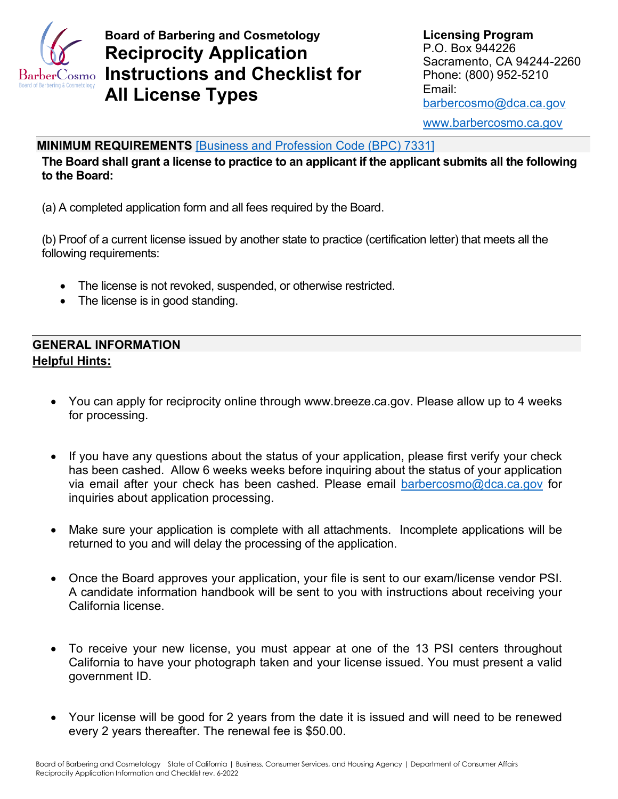

# **Instructions and Checklist for** Phone: (800) 952-5210 **Board of Barbering and Cosmetology Manufath Cosmetology Report Report Report Report Report Report Report Report Report Report Report Report Report Report Report Report Report Report Report Report Report Report Report Repo Reciprocity Application** P.O. Box 944226 **Reciprocity Application** Sacramento, CA 94244-2260 Email: **All License Types** [barbercosmo@dca.ca.gov](mailto:barbercosmo@dca.ca.gov)

[www.barbercosmo.ca.gov](http://www.barbercosmo.ca.gov/) 

#### **MINIMUM REQUIREMENTS** [\[Business and Profession Code \(BPC\) 7331\]](http://leginfo.legislature.ca.gov/faces/codes_displaySection.xhtml?lawCode=BPC§ionNum=7331.)

 **The Board shall grant a license to practice to an applicant if the applicant submits all the following to the Board:** 

(a) A completed application form and all fees required by the Board.

 (b) Proof of a current license issued by another state to practice (certification letter) that meets all the following requirements:

- The license is not revoked, suspended, or otherwise restricted.
- The license is in good standing.

### **GENERAL INFORMATION Helpful Hints:**

- You can apply for reciprocity online through <www.breeze.ca.gov>. Please allow up to 4 weeks for processing.
- inquiries about application processing. • If you have any questions about the status of your application, please first verify your check has been cashed. Allow 6 weeks weeks before inquiring about the status of your application via email after your check has been cashed. Please email [barbercosmo@dca.ca.gov](mailto:barbercosmo@dca.ca.gov) for
- returned to you and will delay the processing of the application. • Make sure your application is complete with all attachments. Incomplete applications will be
- • Once the Board approves your application, your file is sent to our exam/license vendor PSI. A candidate information handbook will be sent to you with instructions about receiving your California license.
- To receive your new license, you must appear at one of the 13 PSI centers throughout California to have your photograph taken and your license issued. You must present a valid government ID.
- Your license will be good for 2 years from the date it is issued and will need to be renewed every 2 years thereafter. The renewal fee is \$50.00.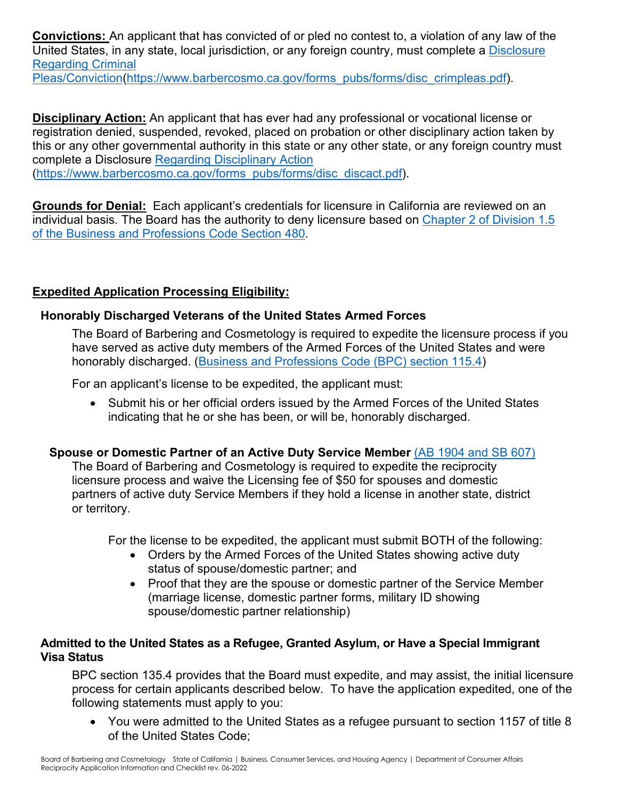**Convictions:** An applicant that has convicted of or pled no contest to, a violation of any law of the United States, in any state, local jurisdiction, or any foreign country, must complete a [Disclosure](https://barbercosmo.ca.gov/forms_pubs/forms/disc_crimpleas.pdf)  [Regarding Criminal](https://barbercosmo.ca.gov/forms_pubs/forms/disc_crimpleas.pdf) 

[Pleas/Conviction](https://barbercosmo.ca.gov/forms_pubs/forms/disc_crimpleas.pdf)[\(https://www.barbercosmo.ca.gov/forms\\_pubs/forms/disc\\_crimpleas.pdf\)](https://www.barbercosmo.ca.gov/forms_pubs/forms/disc_crimpleas.pdf).

 **Disciplinary Action:** An applicant that has ever had any professional or vocational license or this or any other governmental authority in this state or any other state, or any foreign country must registration denied, suspended, revoked, placed on probation or other disciplinary action taken by complete a Disclosure [Regarding Disciplinary Action](https://barbercosmo.ca.gov/forms_pubs/forms/disc_discact.pdf)  [\(https://www.barbercosmo.ca.gov/forms\\_pubs/forms/disc\\_discact.pdf\)](https://www.barbercosmo.ca.gov/forms_pubs/forms/disc_discact.pdf).

 **Grounds for Denial:** Each applicant's credentials for licensure in California are reviewed on an individual basis. The Board has the authority to deny licensure based on [Chapter 2 of Division 1.5](http://leginfo.legislature.ca.gov/faces/codes_displaySection.xhtml?lawCode=BPC§ionNum=480.)  [of the Business and Professions Code Section 480.](http://leginfo.legislature.ca.gov/faces/codes_displaySection.xhtml?lawCode=BPC§ionNum=480.)

### **Expedited Application Processing Eligibility:**

### **Honorably Discharged Veterans of the United States Armed Forces**

The Board of Barbering and Cosmetology is required to expedite the licensure process if you have served as active duty members of the Armed Forces of the United States and were honorably discharged. [\(Business and Professions Code \(BPC\) section 115.4\)](http://leginfo.legislature.ca.gov/faces/codes_displaySection.xhtml?lawCode=BPC§ionNum=115.4.)

For an applicant's license to be expedited, the applicant must:

 • Submit his or her official orders issued by the Armed Forces of the United States indicating that he or she has been, or will be, honorably discharged.

### **Spouse or Domestic Partner of an Active Duty Service Member** [\(AB 1904 and SB 607\)](https://leginfo.legislature.ca.gov/faces/billTextClient.xhtml?bill_id=201120120AB1904)

 partners of active duty Service Members if they hold a license in another state, district The Board of Barbering and Cosmetology is required to expedite the reciprocity licensure process and waive the Licensing fee of \$50 for spouses and domestic or territory.

For the license to be expedited, the applicant must submit BOTH of the following:

- status of spouse/domestic partner; and • Orders by the Armed Forces of the United States showing active duty
- Proof that they are the spouse or domestic partner of the Service Member (marriage license, domestic partner forms, military ID showing spouse/domestic partner relationship)

#### **Admitted to the United States as a Refugee, Granted Asylum, or Have a Special Immigrant Visa Status**

 BPC section 135.4 provides that the Board must expedite, and may assist, the initial licensure process for certain applicants described below. To have the application expedited, one of the following statements must apply to you:

• You were admitted to the United States as a refugee pursuant to section 1157 of title 8 of the United States Code;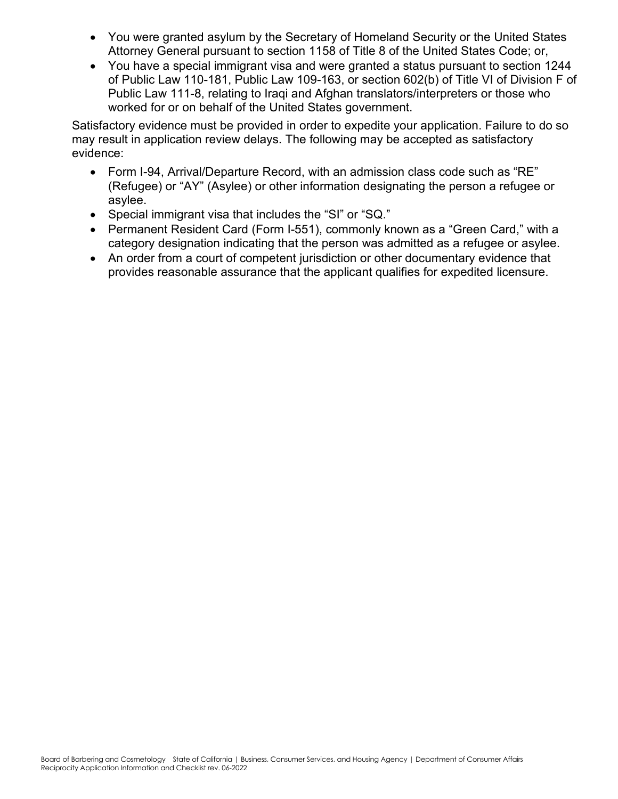- You were granted asylum by the Secretary of Homeland Security or the United States Attorney General pursuant to section 1158 of Title 8 of the United States Code; or,
- You have a special immigrant visa and were granted a status pursuant to section 1244 of Public Law 110-181, Public Law 109-163, or section 602(b) of Title VI of Division F of Public Law 111-8, relating to Iraqi and Afghan translators/interpreters or those who worked for or on behalf of the United States government.

Satisfactory evidence must be provided in order to expedite your application. Failure to do so may result in application review delays. The following may be accepted as satisfactory evidence:

- Form I-94, Arrival/Departure Record, with an admission class code such as "RE" (Refugee) or "AY" (Asylee) or other information designating the person a refugee or asylee.
- Special immigrant visa that includes the "SI" or "SQ."
- Permanent Resident Card (Form I-551), commonly known as a "Green Card," with a category designation indicating that the person was admitted as a refugee or asylee.
- provides reasonable assurance that the applicant qualifies for expedited licensure. • An order from a court of competent jurisdiction or other documentary evidence that